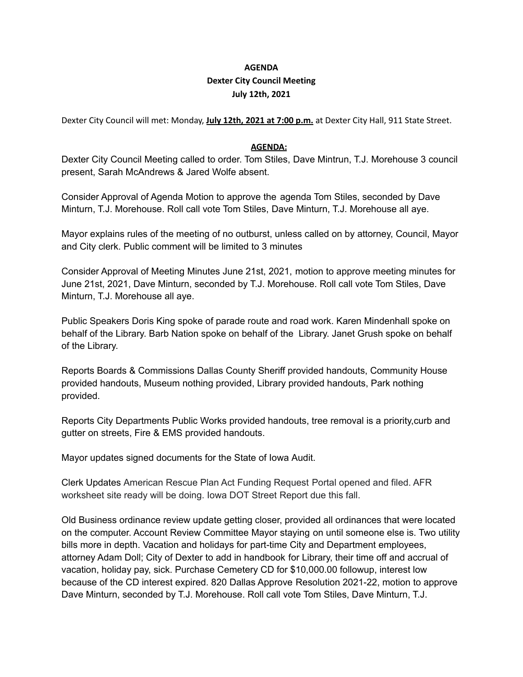## **AGENDA Dexter City Council Meeting July 12th, 2021**

Dexter City Council will met: Monday, **July 12th, 2021 at 7:00 p.m.** at Dexter City Hall, 911 State Street.

## **AGENDA:**

Dexter City Council Meeting called to order. Tom Stiles, Dave Mintrun, T.J. Morehouse 3 council present, Sarah McAndrews & Jared Wolfe absent.

Consider Approval of Agenda Motion to approve the agenda Tom Stiles, seconded by Dave Minturn, T.J. Morehouse. Roll call vote Tom Stiles, Dave Minturn, T.J. Morehouse all aye.

Mayor explains rules of the meeting of no outburst, unless called on by attorney, Council, Mayor and City clerk. Public comment will be limited to 3 minutes

Consider Approval of Meeting Minutes June 21st, 2021, motion to approve meeting minutes for June 21st, 2021, Dave Minturn, seconded by T.J. Morehouse. Roll call vote Tom Stiles, Dave Minturn, T.J. Morehouse all aye.

Public Speakers Doris King spoke of parade route and road work. Karen Mindenhall spoke on behalf of the Library. Barb Nation spoke on behalf of the Library. Janet Grush spoke on behalf of the Library.

Reports Boards & Commissions Dallas County Sheriff provided handouts, Community House provided handouts, Museum nothing provided, Library provided handouts, Park nothing provided.

Reports City Departments Public Works provided handouts, tree removal is a priority,curb and gutter on streets, Fire & EMS provided handouts.

Mayor updates signed documents for the State of Iowa Audit.

Clerk Updates American Rescue Plan Act Funding Request Portal opened and filed. AFR worksheet site ready will be doing. Iowa DOT Street Report due this fall.

Old Business ordinance review update getting closer, provided all ordinances that were located on the computer. Account Review Committee Mayor staying on until someone else is. Two utility bills more in depth. Vacation and holidays for part-time City and Department employees, attorney Adam Doll; City of Dexter to add in handbook for Library, their time off and accrual of vacation, holiday pay, sick. Purchase Cemetery CD for \$10,000.00 followup, interest low because of the CD interest expired. 820 Dallas Approve Resolution 2021-22, motion to approve Dave Minturn, seconded by T.J. Morehouse. Roll call vote Tom Stiles, Dave Minturn, T.J.